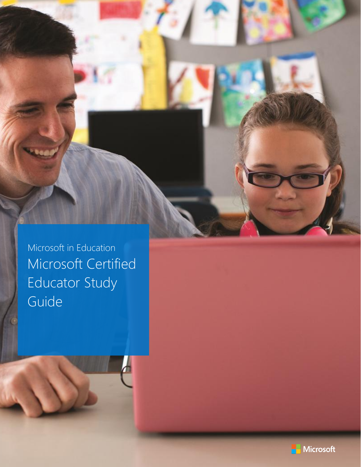Microsoft in Education Microsoft Certified Educator Study Guide

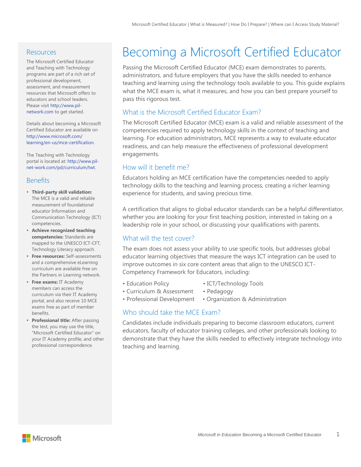#### **Resources**

The Microsoft Certified Educator and Teaching with Technology programs are part of a rich set of professional development, assessment, and measurement resources that Microsoft offers to educators and school leaders. Please visit [http://www.pil](http://www.pil-network.com/)[network.com](http://www.pil-network.com/) to get started.

Details about becoming a Microsoft Certified Educator are available on [http://www.microsoft.com/](http://www.microsoft.com/learning/en-us/mce-certification.) [learning/en-us/mce-certification.](http://www.microsoft.com/learning/en-us/mce-certification.)

The Teaching with Technology portal is located at[: http://www.pil](http://www.pil-net-work.com/pd/curriculum/twt)[net-work.com/pd/curriculum/twt.](http://www.pil-net-work.com/pd/curriculum/twt)

#### **Benefits**

- **Third-party skill validation:**  The MCE is a valid and reliable measurement of foundational educator Information and Communication Technology (ICT) competencies.
- **Achieve recognized teaching competencies:** Standards are mapped to the UNESCO ICT-CFT, Technology Literacy approach.
- **Free resources:** Self-assessments and a comprehensive eLearning curriculum are available free on the Partners in Learning network.
- **Free exams:** IT Academy members can access the curriculum via their IT Academy portal, and also receive 10 MCE exams free as part of member benefits.
- **Professional title:** After passing the test, you may use the title, "Microsoft Certified Educator" on your IT Academy profile, and other professional correspondence.

# Becoming a Microsoft Certified Educator

Passing the Microsoft Certified Educator (MCE) exam demonstrates to parents, administrators, and future employers that you have the skills needed to enhance teaching and learning using the technology tools available to you. This guide explains what the MCE exam is, what it measures, and how you can best prepare yourself to pass this rigorous test.

# What is the Microsoft Certified Educator Exam?

The Microsoft Certified Educator (MCE) exam is a valid and reliable assessment of the competencies required to apply technology skills in the context of teaching and learning. For education administrators, MCE represents a way to evaluate educator readiness, and can help measure the effectiveness of professional development engagements.

#### How will it benefit me?

Educators holding an MCE certification have the competencies needed to apply technology skills to the teaching and learning process, creating a richer learning experience for students, and saving precious time.

A certification that aligns to global educator standards can be a helpful differentiator, whether you are looking for your first teaching position, interested in taking on a leadership role in your school, or discussing your qualifications with parents.

#### What will the test cover?

The exam does not assess your ability to use specific tools, but addresses global educator learning objectives that measure the ways ICT integration can be used to improve outcomes in six core content areas that align to the UNESCO ICT-Competency Framework for Educators, including:

- 
- Education Policy ICT/Technology Tools
- Curriculum & Assessment Pedagogy
- Professional Development Organization & Administration

# Who should take the MCF Exam?

Candidates include individuals preparing to become classroom educators, current educators, faculty of educator training colleges, and other professionals looking to demonstrate that they have the skills needed to effectively integrate technology into teaching and learning.

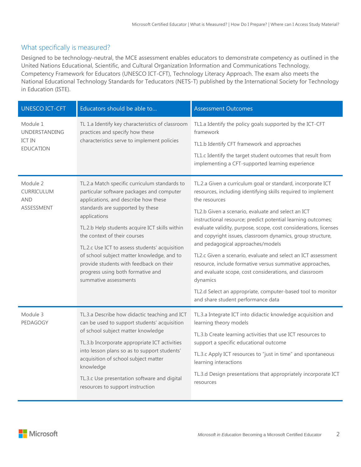#### What specifically is measured?

Designed to be technology-neutral, the MCE assessment enables educators to demonstrate competency as outlined in the United Nations Educational, Scientific, and Cultural Organization Information and Communications Technology, Competency Framework for Educators (UNESCO ICT-CFT), Technology Literacy Approach. The exam also meets the National Educational Technology Standards for Teducators (NETS-T) published by the International Society for Technology in Education (ISTE).

| <b>UNESCO ICT-CFT</b>                                          | Educators should be able to                                                                                                                                                                                                                                                                                                                                                                                                                                                       | <b>Assessment Outcomes</b>                                                                                                                                                                                                                                                                                                                                                                                                                                                                                                                                                                                                                                                                                                                         |
|----------------------------------------------------------------|-----------------------------------------------------------------------------------------------------------------------------------------------------------------------------------------------------------------------------------------------------------------------------------------------------------------------------------------------------------------------------------------------------------------------------------------------------------------------------------|----------------------------------------------------------------------------------------------------------------------------------------------------------------------------------------------------------------------------------------------------------------------------------------------------------------------------------------------------------------------------------------------------------------------------------------------------------------------------------------------------------------------------------------------------------------------------------------------------------------------------------------------------------------------------------------------------------------------------------------------------|
| Module 1<br>UNDERSTANDING<br><b>ICT IN</b><br><b>EDUCATION</b> | TL 1.a Identify key characteristics of classroom<br>practices and specify how these<br>characteristics serve to implement policies                                                                                                                                                                                                                                                                                                                                                | TL1.a Identify the policy goals supported by the ICT-CFT<br>framework<br>TL1.b Identify CFT framework and approaches<br>TL1.c Identify the target student outcomes that result from<br>implementing a CFT-supported learning experience                                                                                                                                                                                                                                                                                                                                                                                                                                                                                                            |
| Module 2<br><b>CURRICULUM</b><br><b>AND</b><br>ASSESSMENT      | TL.2.a Match specific curriculum standards to<br>particular software packages and computer<br>applications, and describe how these<br>standards are supported by these<br>applications<br>TL.2.b Help students acquire ICT skills within<br>the context of their courses<br>TL.2.c Use ICT to assess students' acquisition<br>of school subject matter knowledge, and to<br>provide students with feedback on their<br>progress using both formative and<br>summative assessments | TL.2.a Given a curriculum goal or standard, incorporate ICT<br>resources, including identifying skills required to implement<br>the resources<br>TL2.b Given a scenario, evaluate and select an ICT<br>instructional resource; predict potential learning outcomes;<br>evaluate validity, purpose, scope, cost considerations, licenses<br>and copyright issues, classroom dynamics, group structure,<br>and pedagogical approaches/models<br>TL2.c Given a scenario, evaluate and select an ICT assessment<br>resource, include formative versus summative approaches,<br>and evaluate scope, cost considerations, and classroom<br>dynamics<br>TL2.d Select an appropriate, computer-based tool to monitor<br>and share student performance data |
| Module 3<br>PEDAGOGY                                           | TL.3.a Describe how didactic teaching and ICT<br>can be used to support students' acquisition<br>of school subject matter knowledge<br>TL.3.b Incorporate appropriate ICT activities<br>into lesson plans so as to support students'<br>acquisition of school subject matter<br>knowledge<br>TL.3.c Use presentation software and digital<br>resources to support instruction                                                                                                     | TL.3.a Integrate ICT into didactic knowledge acquisition and<br>learning theory models<br>TL.3.b Create learning activities that use ICT resources to<br>support a specific educational outcome<br>TL.3.c Apply ICT resources to "just in time" and spontaneous<br>learning interactions<br>TL.3.d Design presentations that appropriately incorporate ICT<br>resources                                                                                                                                                                                                                                                                                                                                                                            |

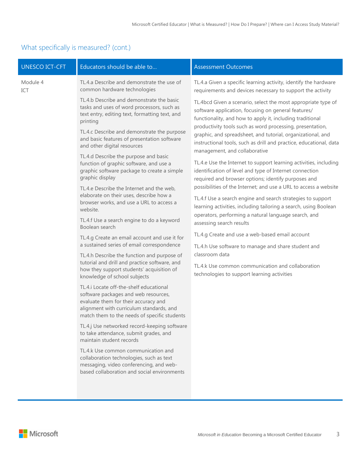# What specifically is measured? (cont.)

| <b>UNESCO ICT-CFT</b> | Educators should be able to                                                                                                                                                                                                                                                                                                                                                                                                                                                                                                                                                                                                                                                                                                                                                                                                                                                                                                                                                                                                                                                                                                                                                                                                                                                                                                                                                                                                                                    | <b>Assessment Outcomes</b>                                                                                                                                                                                                                                                                                                                                                                                                                                                                                                                                                                                                                                                                                                                                                                                                                                                                                                                                                                                                                                                                                                             |
|-----------------------|----------------------------------------------------------------------------------------------------------------------------------------------------------------------------------------------------------------------------------------------------------------------------------------------------------------------------------------------------------------------------------------------------------------------------------------------------------------------------------------------------------------------------------------------------------------------------------------------------------------------------------------------------------------------------------------------------------------------------------------------------------------------------------------------------------------------------------------------------------------------------------------------------------------------------------------------------------------------------------------------------------------------------------------------------------------------------------------------------------------------------------------------------------------------------------------------------------------------------------------------------------------------------------------------------------------------------------------------------------------------------------------------------------------------------------------------------------------|----------------------------------------------------------------------------------------------------------------------------------------------------------------------------------------------------------------------------------------------------------------------------------------------------------------------------------------------------------------------------------------------------------------------------------------------------------------------------------------------------------------------------------------------------------------------------------------------------------------------------------------------------------------------------------------------------------------------------------------------------------------------------------------------------------------------------------------------------------------------------------------------------------------------------------------------------------------------------------------------------------------------------------------------------------------------------------------------------------------------------------------|
| Module 4<br>ICT       | TL.4.a Describe and demonstrate the use of<br>common hardware technologies                                                                                                                                                                                                                                                                                                                                                                                                                                                                                                                                                                                                                                                                                                                                                                                                                                                                                                                                                                                                                                                                                                                                                                                                                                                                                                                                                                                     | TL.4.a Given a specific learning activity, identify the hardware<br>requirements and devices necessary to support the activity                                                                                                                                                                                                                                                                                                                                                                                                                                                                                                                                                                                                                                                                                                                                                                                                                                                                                                                                                                                                         |
|                       | TL.4.b Describe and demonstrate the basic<br>tasks and uses of word processors, such as<br>text entry, editing text, formatting text, and<br>printing<br>TL.4.c Describe and demonstrate the purpose<br>and basic features of presentation software<br>and other digital resources<br>TL.4.d Describe the purpose and basic<br>function of graphic software, and use a<br>graphic software package to create a simple<br>graphic display<br>TL.4.e Describe the Internet and the web,<br>elaborate on their uses, describe how a<br>browser works, and use a URL to access a<br>website.<br>TL.4.f Use a search engine to do a keyword<br>Boolean search<br>TL.4.g Create an email account and use it for<br>a sustained series of email correspondence<br>TL.4.h Describe the function and purpose of<br>tutorial and drill and practice software, and<br>how they support students' acquisition of<br>knowledge of school subjects<br>TL.4.i Locate off-the-shelf educational<br>software packages and web resources,<br>evaluate them for their accuracy and<br>alignment with curriculum standards, and<br>match them to the needs of specific students<br>TL.4.j Use networked record-keeping software<br>to take attendance, submit grades, and<br>maintain student records<br>TL.4.k Use common communication and<br>collaboration technologies, such as text<br>messaging, video conferencing, and web-<br>based collaboration and social environments | TL.4bcd Given a scenario, select the most appropriate type of<br>software application, focusing on general features/<br>functionality, and how to apply it, including traditional<br>productivity tools such as word processing, presentation,<br>graphic, and spreadsheet, and tutorial, organizational, and<br>instructional tools, such as drill and practice, educational, data<br>management, and collaborative<br>TL.4.e Use the Internet to support learning activities, including<br>identification of level and type of Internet connection<br>required and browser options; identify purposes and<br>possibilities of the Internet; and use a URL to access a website<br>TL.4.f Use a search engine and search strategies to support<br>learning activities, including tailoring a search, using Boolean<br>operators, performing a natural language search, and<br>assessing search results<br>TL.4.g Create and use a web-based email account<br>TL.4.h Use software to manage and share student and<br>classroom data<br>TL.4.k Use common communication and collaboration<br>technologies to support learning activities |
|                       |                                                                                                                                                                                                                                                                                                                                                                                                                                                                                                                                                                                                                                                                                                                                                                                                                                                                                                                                                                                                                                                                                                                                                                                                                                                                                                                                                                                                                                                                |                                                                                                                                                                                                                                                                                                                                                                                                                                                                                                                                                                                                                                                                                                                                                                                                                                                                                                                                                                                                                                                                                                                                        |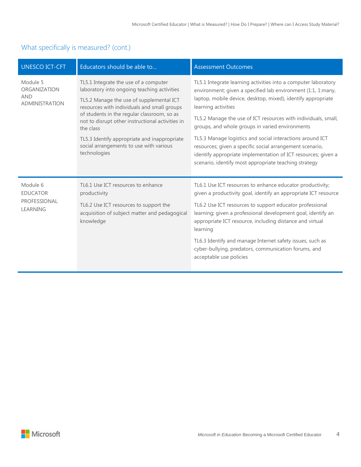# What specifically is measured? (cont.)

| <b>UNESCO ICT-CFT</b>                                           | Educators should be able to                                                                                                                                                                                                                                                                                                                                                                                | <b>Assessment Outcomes</b>                                                                                                                                                                                                                                                                                                                                                                                                                                                                                                                                                                    |
|-----------------------------------------------------------------|------------------------------------------------------------------------------------------------------------------------------------------------------------------------------------------------------------------------------------------------------------------------------------------------------------------------------------------------------------------------------------------------------------|-----------------------------------------------------------------------------------------------------------------------------------------------------------------------------------------------------------------------------------------------------------------------------------------------------------------------------------------------------------------------------------------------------------------------------------------------------------------------------------------------------------------------------------------------------------------------------------------------|
| Module 5<br>ORGANIZATION<br><b>AND</b><br><b>ADMINISTRATION</b> | TL5.1 Integrate the use of a computer<br>laboratory into ongoing teaching activities<br>TL5.2 Manage the use of supplemental ICT<br>resources with individuals and small groups<br>of students in the regular classroom, so as<br>not to disrupt other instructional activities in<br>the class<br>TL5.3 Identify appropriate and inappropriate<br>social arrangements to use with various<br>technologies | TL5.1 Integrate learning activities into a computer laboratory<br>environment; given a specified lab environment (1:1, 1:many,<br>laptop, mobile device, desktop, mixed), identify appropriate<br>learning activities<br>TL5.2 Manage the use of ICT resources with individuals, small,<br>groups, and whole groups in varied environments<br>TL5.3 Manage logistics and social interactions around ICT<br>resources; given a specific social arrangement scenario,<br>identify appropriate implementation of ICT resources; given a<br>scenario, identify most appropriate teaching strategy |
| Module 6<br><b>EDUCATOR</b><br>PROFESSIONAL<br><b>LEARNING</b>  | TL6.1 Use ICT resources to enhance<br>productivity<br>TL6.2 Use ICT resources to support the<br>acquisition of subject matter and pedagogical<br>knowledge                                                                                                                                                                                                                                                 | TL6.1 Use ICT resources to enhance educator productivity;<br>given a productivity goal, identify an appropriate ICT resource<br>TL6.2 Use ICT resources to support educator professional<br>learning; given a professional development goal, identify an<br>appropriate ICT resource, including distance and virtual<br>learning<br>TL6.3 Identify and manage Internet safety issues, such as<br>cyber-bullying, predators, communication forums, and<br>acceptable use policies                                                                                                              |

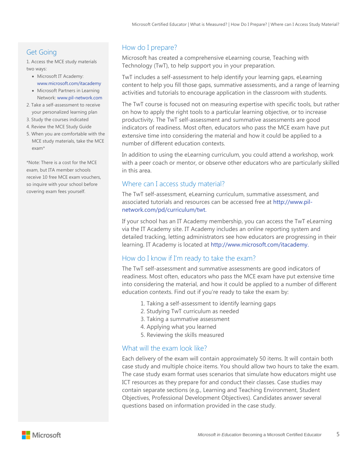# Get Going

1. Access the MCE study materials two ways:

- Microsoft IT Academy: [www.microsoft.com/itacademy](http://www.microsoft.com/itacademy)
- Microsoft Partners in Learning Network: [www.pil-network.com](http://www.pil-network.com/)
- 2. Take a self-assessment to receive your personalized learning plan
- 3. Study the courses indicated
- 4. Review the MCE Study Guide
- 5. When you are comfortable with the MCE study materials, take the MCE exam\*

\*Note: There is a cost for the MCE exam, but ITA member schools receive 10 free MCE exam vouchers, so inquire with your school before covering exam fees yourself.

# How do I prepare?

Microsoft has created a comprehensive eLearning course, Teaching with Technology (TwT), to help support you in your preparation.

TwT includes a self-assessment to help identify your learning gaps, eLearning content to help you fill those gaps, summative assessments, and a range of learning activities and tutorials to encourage application in the classroom with students.

The TwT course is focused not on measuring expertise with specific tools, but rather on how to apply the right tools to a particular learning objective, or to increase productivity. The TwT self-assessment and summative assessments are good indicators of readiness. Most often, educators who pass the MCE exam have put extensive time into considering the material and how it could be applied to a number of different education contexts.

In addition to using the eLearning curriculum, you could attend a workshop, work with a peer coach or mentor, or observe other educators who are particularly skilled in this area.

#### Where can I access study material?

The TwT self-assessment, eLearning curriculum, summative assessment, and associated tutorials and resources can be accessed free at [http://www.pil](http://www.pil-network.com/pd/curriculum/twt)[network.com/pd/curriculum/twt.](http://www.pil-network.com/pd/curriculum/twt)

If your school has an IT Academy membership, you can access the TwT eLearning via the IT Academy site. IT Academy includes an online reporting system and detailed tracking, letting administrators see how educators are progressing in their learning. IT Academy is located at [http://www.microsoft.com/itacademy.](http://www.microsoft.com/itacademy)

# How do I know if I'm ready to take the exam?

The TwT self-assessment and summative assessments are good indicators of readiness. Most often, educators who pass the MCE exam have put extensive time into considering the material, and how it could be applied to a number of different education contexts. Find out if you're ready to take the exam by:

- 1. Taking a self-assessment to identify learning gaps
- 2. Studying TwT curriculum as needed
- 3. Taking a summative assessment
- 4. Applying what you learned
- 5. Reviewing the skills measured

# What will the exam look like?

Each delivery of the exam will contain approximately 50 items. It will contain both case study and multiple choice items. You should allow two hours to take the exam. The case study exam format uses scenarios that simulate how educators might use ICT resources as they prepare for and conduct their classes. Case studies may contain separate sections (e.g., Learning and Teaching Environment, Student Objectives, Professional Development Objectives). Candidates answer several questions based on information provided in the case study.

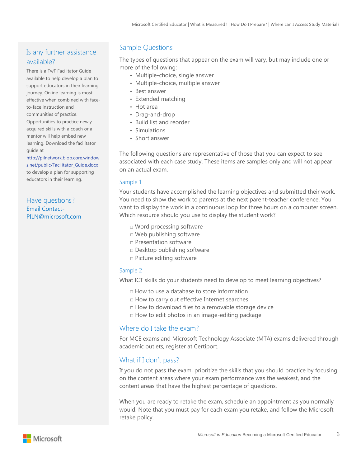# Is any further assistance available?

There is a TwT Facilitator Guide available to help develop a plan to support educators in their learning journey. Online learning is most effective when combined with faceto-face instruction and

communities of practice. Opportunities to practice newly acquired skills with a coach or a mentor will help embed new learning. Download the facilitator guide at

[http://pilnetwork.blob.core.window](http://pilnetwork.blob.core.windows.net/public/Facilitator_Guide.docx) [s.net/public/Facilitator\\_Guide.docx](http://pilnetwork.blob.core.windows.net/public/Facilitator_Guide.docx) to develop a plan for supporting educators in their learning.

#### Have questions? [Email Contact-](mailto:Contact-PILN@microsoft.com)[PILN@microsoft.com](mailto:Contact-PILN@microsoft.com)

#### Sample Questions

The types of questions that appear on the exam will vary, but may include one or more of the following:

- Multiple-choice, single answer
- Multiple-choice, multiple answer
- Best answer
- Extended matching
- Hot area
- Drag-and-drop
- Build list and reorder
- Simulations
- Short answer

The following questions are representative of those that you can expect to see associated with each case study. These items are samples only and will not appear on an actual exam.

#### Sample 1

Your students have accomplished the learning objectives and submitted their work. You need to show the work to parents at the next parent-teacher conference. You want to display the work in a continuous loop for three hours on a computer screen. Which resource should you use to display the student work?

- □ Word processing software
- □ Web publishing software
- □ Presentation software
- □ Desktop publishing software
- □ Picture editing software

#### Sample 2

What ICT skills do your students need to develop to meet learning objectives?

- □ How to use a database to store information
- □ How to carry out effective Internet searches
- □ How to download files to a removable storage device
- □ How to edit photos in an image-editing package

#### Where do I take the exam?

For MCE exams and Microsoft Technology Associate (MTA) exams delivered through academic outlets, register at Certiport.

#### What if I don't pass?

If you do not pass the exam, prioritize the skills that you should practice by focusing on the content areas where your exam performance was the weakest, and the content areas that have the highest percentage of questions.

When you are ready to retake the exam, schedule an appointment as you normally would. Note that you must pay for each exam you retake, and follow the Microsoft retake policy.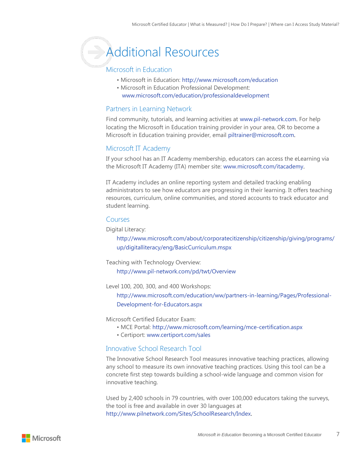# **Additional Resources**

#### Microsoft in Education

- Microsoft in Education: <http://www.microsoft.com/education>
- Microsoft in Education Professional Development: [www.microsoft.com/education/professionaldevelopment](http://www.microsoft.com/education/professionaldevelopment)

#### Partners in Learning Network

Find community, tutorials, and learning activities at [www.pil-network.com.](http://www.pil-network.com/) For help locating the Microsoft in Education training provider in your area, OR to become a Microsoft in Education training provider, email [piltrainer@microsoft.com.](mailto:piltrainer@microsoft.com)

#### Microsoft IT Academy

If your school has an IT Academy membership, educators can access the eLearning via the Microsoft IT Academy (ITA) member site: [www.microsoft.com/itacademy.](http://www.microsoft.com/itacademy)

IT Academy includes an online reporting system and detailed tracking enabling administrators to see how educators are progressing in their learning. It offers teaching resources, curriculum, online communities, and stored accounts to track educator and student learning.

#### Courses

Digital Literacy:

[http://www.microsoft.com/about/corporatecitizenship/citizenship/giving/programs/](http://www.microsoft.com/about/corporatecitizenship/citizenship/giving/programs/up/digitalliteracy/eng/BasicCurriculum.mspx) [up/digitalliteracy/eng/BasicCurriculum.mspx](http://www.microsoft.com/about/corporatecitizenship/citizenship/giving/programs/up/digitalliteracy/eng/BasicCurriculum.mspx)

Teaching with Technology Overview:

<http://www.pil-network.com/pd/twt/Overview>

Level 100, 200, 300, and 400 Workshops:

[http://www.microsoft.com/education/ww/partners-in-learning/Pages/Professional-](http://www.microsoft.com/education/ww/partners-in-learning/Pages/Professional-Development-for-Educators.aspx)[Development-for-Educators.aspx](http://www.microsoft.com/education/ww/partners-in-learning/Pages/Professional-Development-for-Educators.aspx)

Microsoft Certified Educator Exam:

- MCE Portal:<http://www.microsoft.com/learning/mce-certification.aspx>
- Certiport: [www.certiport.com/sales](http://www.certiport.com/sales)

# Innovative School Research Tool

The Innovative School Research Tool measures innovative teaching practices, allowing any school to measure its own innovative teaching practices. Using this tool can be a concrete first step towards building a school-wide language and common vision for innovative teaching.

Used by 2,400 schools in 79 countries, with over 100,000 educators taking the surveys, the tool is free and available in over 30 languages at [http://www.pilnetwork.com/Sites/SchoolResearch/Index.](http://www.pilnetwork.com/Sites/SchoolResearch/Index)

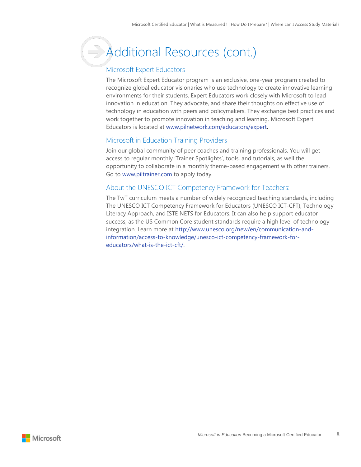# **Additional Resources (cont.)**

# Microsoft Expert Educators

The Microsoft Expert Educator program is an exclusive, one-year program created to recognize global educator visionaries who use technology to create innovative learning environments for their students. Expert Educators work closely with Microsoft to lead innovation in education. They advocate, and share their thoughts on effective use of technology in education with peers and policymakers. They exchange best practices and work together to promote innovation in teaching and learning. Microsoft Expert Educators is located at [www.pilnetwork.com/educators/expert.](http://www.pilnetwork.com/educators/expert)

# Microsoft in Education Training Providers

Join our global community of peer coaches and training professionals. You will get access to regular monthly 'Trainer Spotlights', tools, and tutorials, as well the opportunity to collaborate in a monthly theme-based engagement with other trainers. Go to [www.piltrainer.com](http://www.piltrainer.com/) to apply today.

#### About the UNESCO ICT Competency Framework for Teachers:

The TwT curriculum meets a number of widely recognized teaching standards, including The UNESCO ICT Competency Framework for Educators (UNESCO ICT-CFT), Technology Literacy Approach, and ISTE NETS for Educators. It can also help support educator success, as the US Common Core student standards require a high level of technology integration. Learn more at [http://www.unesco.org/new/en/communication-and](http://www.unesco.org/new/en/communication-and-information/access-to-knowledge/unesco-ict-competency-framework-for-teachers/what-is-the-ict-cft/)[information/access-to-knowledge/unesco-ict-competency-framework-for](http://www.unesco.org/new/en/communication-and-information/access-to-knowledge/unesco-ict-competency-framework-for-teachers/what-is-the-ict-cft/)[educators/what-is-the-ict-cft/.](http://www.unesco.org/new/en/communication-and-information/access-to-knowledge/unesco-ict-competency-framework-for-teachers/what-is-the-ict-cft/)